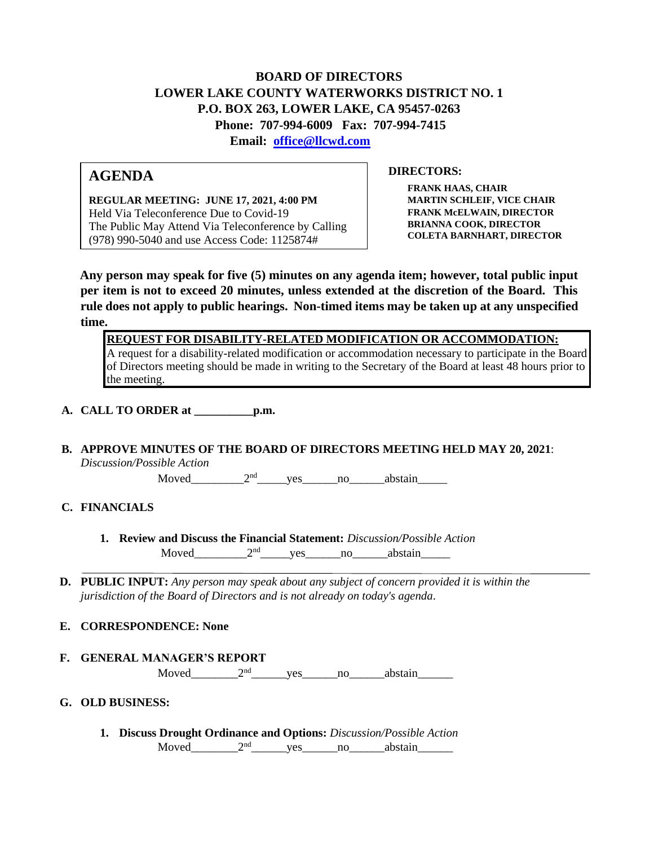## **BOARD OF DIRECTORS LOWER LAKE COUNTY WATERWORKS DISTRICT NO. 1 P.O. BOX 263, LOWER LAKE, CA 95457-0263 Phone: 707-994-6009 Fax: 707-994-7415**

**Email: office@llcwd.com**

### **AGENDA**

**REGULAR MEETING: JUNE 17, 2021, 4:00 PM**  Held Via Teleconference Due to Covid-19 The Public May Attend Via Teleconference by Calling (978) 990-5040 and use Access Code: 1125874#

#### **DIRECTORS:**

**FRANK HAAS, CHAIR MARTIN SCHLEIF, VICE CHAIR FRANK McELWAIN, DIRECTOR BRIANNA COOK, DIRECTOR COLETA BARNHART, DIRECTOR**

**Any person may speak for five (5) minutes on any agenda item; however, total public input per item is not to exceed 20 minutes, unless extended at the discretion of the Board. This rule does not apply to public hearings. Non-timed items may be taken up at any unspecified time.** 

**REQUEST FOR DISABILITY-RELATED MODIFICATION OR ACCOMMODATION:**

A request for a disability-related modification or accommodation necessary to participate in the Board of Directors meeting should be made in writing to the Secretary of the Board at least 48 hours prior to the meeting.

**A. CALL TO ORDER at \_\_\_\_\_\_\_\_\_\_p.m.** 

# **B. APPROVE MINUTES OF THE BOARD OF DIRECTORS MEETING HELD MAY 20, 2021**:

*Discussion/Possible Action*

Moved  $2<sup>nd</sup>$  ves no abstain

#### **C. FINANCIALS**

- **1. Review and Discuss the Financial Statement:** *Discussion/Possible Action* Moved  $2<sup>nd</sup>$  yes no abstain
- **D. PUBLIC INPUT:** *Any person may speak about any subject of concern provided it is within the jurisdiction of the Board of Directors and is not already on today's agenda.*

#### **E. CORRESPONDENCE: None**

**F. GENERAL MANAGER'S REPORT**

Moved  $2<sup>nd</sup>$  ves no abstain

#### **G. OLD BUSINESS:**

**1. Discuss Drought Ordinance and Options:** *Discussion/Possible Action* Moved\_\_\_\_\_\_\_\_2nd\_\_\_\_\_\_yes\_\_\_\_\_\_no\_\_\_\_\_\_abstain\_\_\_\_\_\_